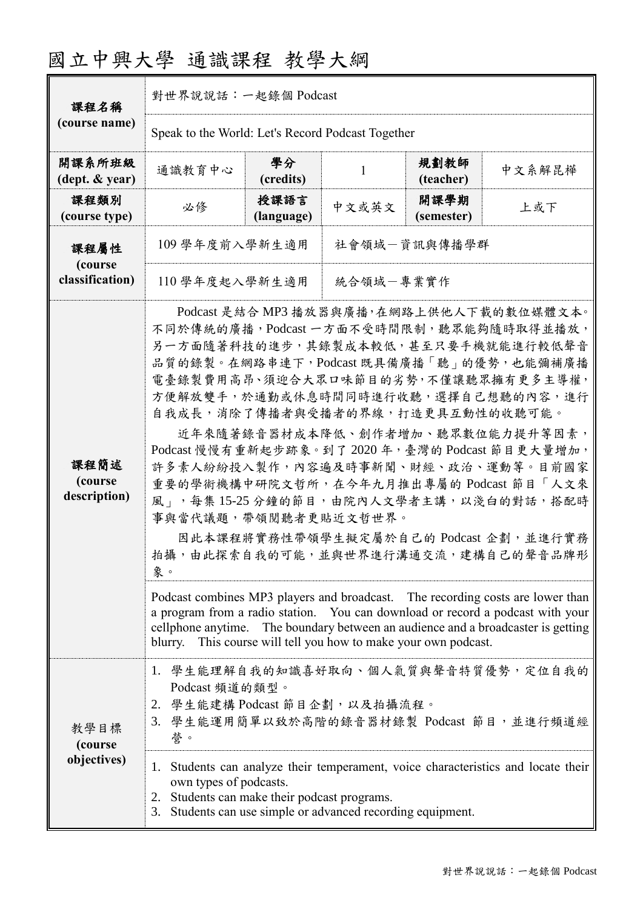## 國立中興大學 通識課程 教學大綱

| 課程名稱                            | 對世界說說話:一起錄個 Podcast                                                                                                                                                                                                                                                                                                                                                                                                                                                                                                                                                                                                                                                                                                                                                                                                                                                       |                    |       |                    |        |  |  |
|---------------------------------|---------------------------------------------------------------------------------------------------------------------------------------------------------------------------------------------------------------------------------------------------------------------------------------------------------------------------------------------------------------------------------------------------------------------------------------------------------------------------------------------------------------------------------------------------------------------------------------------------------------------------------------------------------------------------------------------------------------------------------------------------------------------------------------------------------------------------------------------------------------------------|--------------------|-------|--------------------|--------|--|--|
| (course name)                   | Speak to the World: Let's Record Podcast Together                                                                                                                                                                                                                                                                                                                                                                                                                                                                                                                                                                                                                                                                                                                                                                                                                         |                    |       |                    |        |  |  |
| 開課系所班級<br>(dept. & year)        | 通識教育中心                                                                                                                                                                                                                                                                                                                                                                                                                                                                                                                                                                                                                                                                                                                                                                                                                                                                    | 學分<br>(credits)    | 1     | 規劃教師<br>(teacher)  | 中文系解昆樺 |  |  |
| 課程類別<br>(course type)           | 必修                                                                                                                                                                                                                                                                                                                                                                                                                                                                                                                                                                                                                                                                                                                                                                                                                                                                        | 授課語言<br>(language) | 中文或英文 | 開課學期<br>(semester) | 上或下    |  |  |
| 課程屬性                            | 109 學年度前入學新生適用<br>社會領域一資訊與傳播學群                                                                                                                                                                                                                                                                                                                                                                                                                                                                                                                                                                                                                                                                                                                                                                                                                                            |                    |       |                    |        |  |  |
| (course<br>classification)      | 統合領域一專業實作<br>110 學年度起入學新生適用                                                                                                                                                                                                                                                                                                                                                                                                                                                                                                                                                                                                                                                                                                                                                                                                                                               |                    |       |                    |        |  |  |
| 課程簡述<br>(course<br>description) | Podcast 是結合 MP3 播放器與廣播,在網路上供他人下載的數位媒體文本。<br>不同於傳統的廣播,Podcast一方面不受時間限制,聽眾能夠隨時取得並播放,<br>另一方面隨著科技的進步,其錄製成本較低,甚至只要手機就能進行較低聲音<br>品質的錄製。在網路串連下,Podcast 既具備廣播「聽」的優勢,也能彌補廣播<br>電臺錄製費用高昂、須迎合大眾口味節目的劣勢,不僅讓聽眾擁有更多主導權,<br>方便解放雙手,於通勤或休息時間同時進行收聽,選擇自己想聽的內容,進行<br>自我成長,消除了傳播者與受播者的界線,打造更具互動性的收聽可能。<br>近年來隨著錄音器材成本降低、創作者增加、聽眾數位能力提升等因素,<br>Podcast 慢慢有重新起步跡象。到了2020年, 臺灣的 Podcast 節目更大量增加,<br>許多素人紛紛投入製作,內容遍及時事新聞、財經、政治、運動等。目前國家<br>重要的學術機構中研院文哲所,在今年九月推出專屬的 Podcast 節目「人文來<br>風」,每集15-25分鐘的節目,由院內人文學者主講,以淺白的對話,搭配時<br>事與當代議題,帶領閱聽者更貼近文哲世界。<br>因此本課程將實務性帶領學生擬定屬於自己的 Podcast 企劃,並進行實務<br>拍攝,由此探索自我的可能,並與世界進行溝通交流,建構自己的聲音品牌形<br>象。<br>Podcast combines MP3 players and broadcast. The recording costs are lower than<br>a program from a radio station. You can download or record a podcast with your<br>cellphone anytime. The boundary between an audience and a broadcaster is getting |                    |       |                    |        |  |  |
| 教學目標<br>(course                 | 1. 學生能理解自我的知識喜好取向、個人氣質與聲音特質優勢,定位自我的<br>Podcast 頻道的類型。<br>2. 學生能建構 Podcast 節目企劃, 以及拍攝流程。<br>3. 學生能運用簡單以致於高階的錄音器材錄製 Podcast 節目,並進行頻道經<br>誉。                                                                                                                                                                                                                                                                                                                                                                                                                                                                                                                                                                                                                                                                                                                                 |                    |       |                    |        |  |  |
| objectives)                     | 1. Students can analyze their temperament, voice characteristics and locate their<br>own types of podcasts.<br>2. Students can make their podcast programs.<br>Students can use simple or advanced recording equipment.<br>3.                                                                                                                                                                                                                                                                                                                                                                                                                                                                                                                                                                                                                                             |                    |       |                    |        |  |  |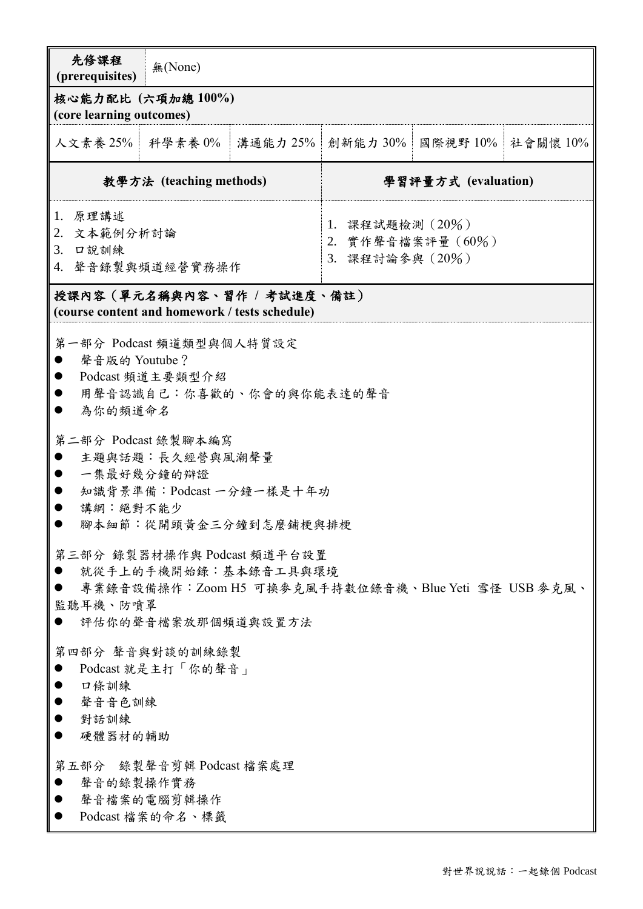| 先修課程<br>(prerequisites)                               | 無(None)                                                                                              |                                                                                |                                                               |          |          |  |  |
|-------------------------------------------------------|------------------------------------------------------------------------------------------------------|--------------------------------------------------------------------------------|---------------------------------------------------------------|----------|----------|--|--|
| 核心能力配比 (六項加總100%)<br>(core learning outcomes)         |                                                                                                      |                                                                                |                                                               |          |          |  |  |
| 人文素養 25%   科學素養 0%                                    |                                                                                                      | 溝通能力 25%                                                                       | 創新能力 30%                                                      | 國際視野 10% | 社會關懷 10% |  |  |
| 教學方法 (teaching methods)                               |                                                                                                      |                                                                                | 學習評量方式 (evaluation)                                           |          |          |  |  |
| 1. 原理講述<br>2. 文本範例分析討論<br>3. 口說訓練<br>4. 聲音錄製與頻道經營實務操作 |                                                                                                      |                                                                                | 1. 課程試題檢測 $(20\%)$<br>2. 實作聲音檔案評量 $(60\%)$<br>3. 課程討論參與 (20%) |          |          |  |  |
|                                                       | (course content and homework / tests schedule)                                                       | 授課內容(單元名稱與內容、習作 / 考試進度、備註)                                                     |                                                               |          |          |  |  |
| 聲音版的 Youtube?<br>為你的頻道命名<br>講綱:絕對不能少                  | 第一部分 Podcast 頻道類型與個人特質設定<br>Podcast 頻道主要類型介紹<br>第二部分 Podcast 錄製腳本編寫<br>主題與話題:長久經營與風潮聲量<br>一集最好幾分鐘的辯證 | 用聲音認識自己:你喜歡的、你會的與你能表達的聲音<br>知識背景準備: Podcast 一分鐘一樣是十年功<br>腳本細節:從開頭黃金三分鐘到怎麼鋪梗與排梗 |                                                               |          |          |  |  |
| 監聽耳機、防噴罩                                              | 評估你的聲音檔案放那個頻道與設置方法                                                                                   | 第三部分 錄製器材操作與 Podcast 頻道平台設置<br>就從手上的手機開始錄︰基本錄音工具與環境                            | 專業錄音設備操作:Zoom H5 可換麥克風手持數位錄音機、Blue Yeti 雪怪 USB 麥克風、           |          |          |  |  |
| 口條訓練<br>聲音音色訓練<br>對話訓練<br>硬體器材的輔助                     | 第四部分 聲音與對談的訓練錄製<br>Podcast 就是主打「你的聲音」<br>第五部分 錄製聲音剪輯 Podcast 檔案處理                                    |                                                                                |                                                               |          |          |  |  |
| 聲音的錄製操作實務                                             | 聲音檔案的電腦剪輯操作<br>Podcast 檔案的命名、標籤                                                                      |                                                                                |                                                               |          |          |  |  |